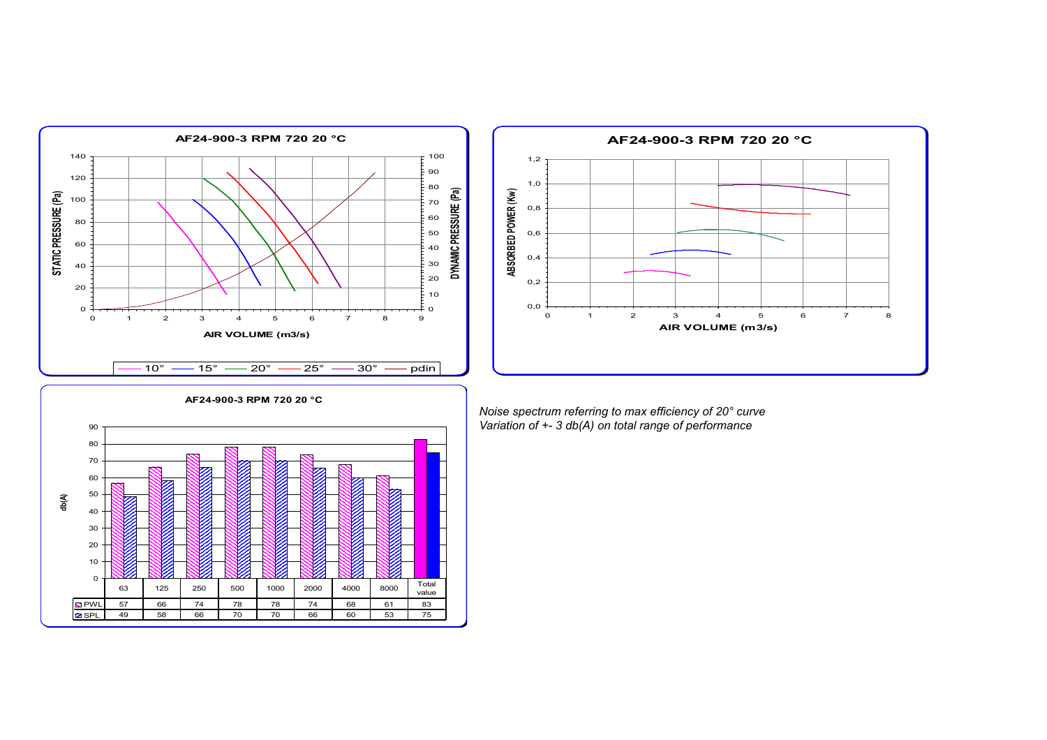





*Noise spectrum referring to max efficiency of 20° curve Variation of +- 3 db(A) on total range of performance*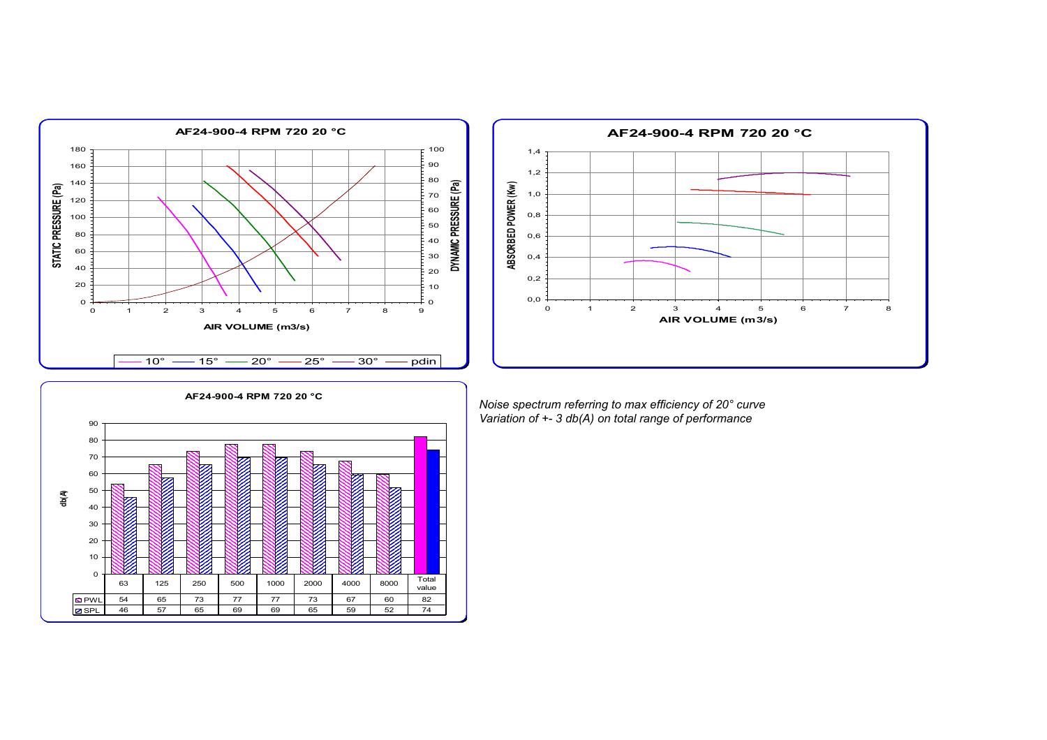



*Noise spectrum referring to max efficiency of 20° curve Variation of +- 3 db(A) on total range of performance*